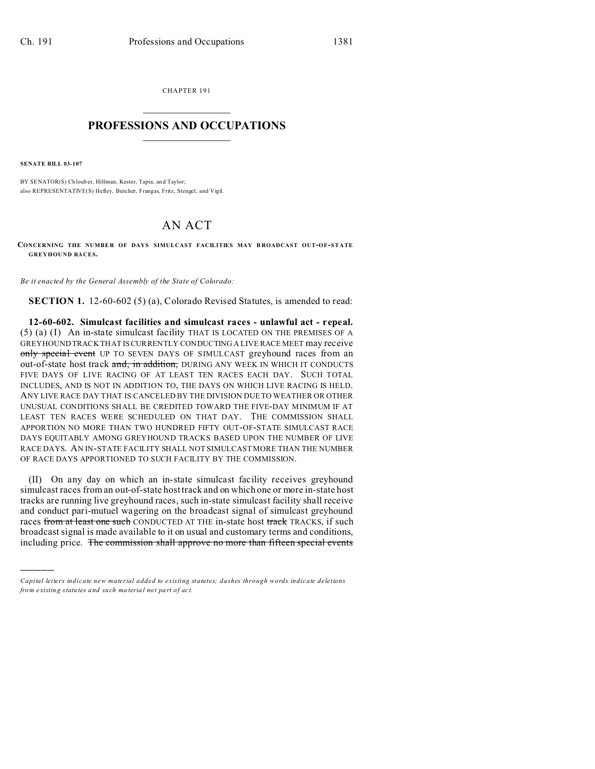CHAPTER 191  $\overline{\phantom{a}}$  , where  $\overline{\phantom{a}}$ 

## **PROFESSIONS AND OCCUPATIONS**  $\frac{1}{2}$  ,  $\frac{1}{2}$  ,  $\frac{1}{2}$  ,  $\frac{1}{2}$  ,  $\frac{1}{2}$  ,  $\frac{1}{2}$  ,  $\frac{1}{2}$

**SENATE BILL 03-107**

)))))

BY SENATOR(S) Ch loub er, Hillman, Kester, Tapia, and Taylor; also REPRESENTATIVE(S) Hefley, Butcher, Frangas, Fritz, Stengel, and Vigil.

## AN ACT

**CONCERNING THE NUMBE R OF DAYS SIMULCAST FACILITIES MAY B ROADCAST OUT-OF-STATE GREYHOUND RACES.**

*Be it enacted by the General Assembly of the State of Colorado:*

**SECTION 1.** 12-60-602 (5) (a), Colorado Revised Statutes, is amended to read:

**12-60-602. Simulcast facilities and simulcast races - unlawful act - repeal.** (5) (a) (I) An in-state simulcast facility THAT IS LOCATED ON THE PREMISES OF A GREYHOUND TRACK THAT IS CURRENTLY CONDUCTING A LIVE RACE MEET may receive only special event UP TO SEVEN DAYS OF SIMULCAST greyhound races from an out-of-state host track and, in addition, DURING ANY WEEK IN WHICH IT CONDUCTS FIVE DAYS OF LIVE RACING OF AT LEAST TEN RACES EACH DAY. SUCH TOTAL INCLUDES, AND IS NOT IN ADDITION TO, THE DAYS ON WHICH LIVE RACING IS HELD. ANY LIVE RACE DAY THAT IS CANCELED BY THE DIVISION DUE TO WEATHER OR OTHER UNUSUAL CONDITIONS SHALL BE CREDITED TOWARD THE FIVE-DAY MINIMUM IF AT LEAST TEN RACES WERE SCHEDULED ON THAT DAY. THE COMMISSION SHALL APPORTION NO MORE THAN TWO HUNDRED FIFTY OUT-OF-STATE SIMULCAST RACE DAYS EQUITABLY AMONG GREYHOUND TRACKS BASED UPON THE NUMBER OF LIVE RACE DAYS. AN IN-STATE FACILITY SHALL NOT SIMULCAST MORE THAN THE NUMBER OF RACE DAYS APPORTIONED TO SUCH FACILITY BY THE COMMISSION.

(II) On any day on which an in-state simulcast facility receives greyhound simulcast races from an out-of-state host track and on which one or more in-state host tracks are running live greyhound races, such in-state simulcast facility shall receive and conduct pari-mutuel wagering on the broadcast signal of simulcast greyhound races from at least one such CONDUCTED AT THE in-state host track TRACKS, if such broadcast signal is made available to it on usual and customary terms and conditions, including price. The commission shall approve no more than fifteen special events

*Capital letters indicate new material added to existing statutes; dashes through words indicate deletions from e xistin g statu tes a nd such ma teria l no t pa rt of ac t.*